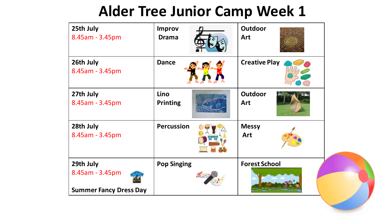|                                                               |                         | Art                   |  |
|---------------------------------------------------------------|-------------------------|-----------------------|--|
| 26th July<br>8.45am - 3.45pm                                  | <b>Dance</b>            | <b>Creative Play</b>  |  |
| 27th July<br>8.45am - 3.45pm                                  | Lino<br><b>Printing</b> | <b>Outdoor</b><br>Art |  |
| 28th July<br>8.45am - 3.45pm                                  | <b>Percussion</b>       | <b>Messy</b><br>Art   |  |
| 29th July<br>8.45am - 3.45pm<br><b>Summer Fancy Dress Day</b> | <b>Pop Singing</b>      | <b>Forest School</b>  |  |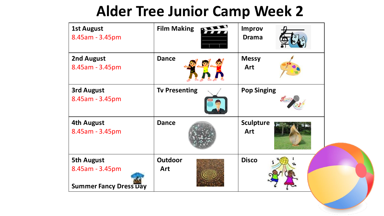| <b>1st August</b><br>8.45am - 3.45pm                                  | <b>Film Making</b>    | <b>Improv</b><br><b>Drama</b>  |  |
|-----------------------------------------------------------------------|-----------------------|--------------------------------|--|
| 2nd August<br>8.45am - 3.45pm                                         | <b>Dance</b>          | <b>Messy</b><br>Art            |  |
| <b>3rd August</b><br>8.45am - 3.45pm                                  | <b>Tv Presenting</b>  | <b>Pop Singing</b>             |  |
| <b>4th August</b><br>8.45am - 3.45pm                                  | <b>Dance</b>          | <b>Sculpture</b><br><b>Art</b> |  |
| <b>5th August</b><br>8.45am - 3.45pm<br><b>Summer Fancy Dress Day</b> | <b>Outdoor</b><br>Art | <b>Disco</b>                   |  |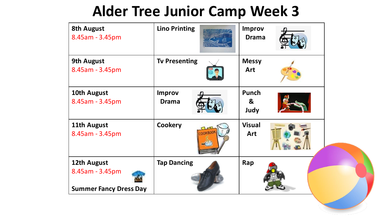| <b>8th August</b><br>8.45am - 3.45pm                            | <b>Lino Printing</b>          | <b>Improv</b><br><b>Drama</b> |  |
|-----------------------------------------------------------------|-------------------------------|-------------------------------|--|
| <b>9th August</b><br>8.45am - 3.45pm                            | <b>Tv Presenting</b>          | <b>Messy</b><br>Art           |  |
| 10th August<br>8.45am - 3.45pm                                  | <b>Improv</b><br><b>Drama</b> | Punch<br>&<br>Judy            |  |
| 11th August<br>8.45am - 3.45pm                                  | Cookery                       | <b>Visual</b><br>Art          |  |
| 12th August<br>8.45am - 3.45pm<br><b>Summer Fancy Dress Day</b> | <b>Tap Dancing</b>            | Rap                           |  |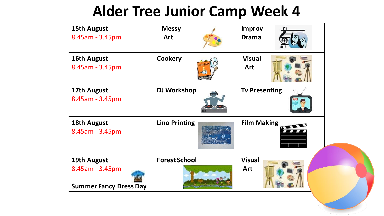| <b>15th August</b><br>8.45am - 3.45pm            | <b>Messy</b><br>Art  | <b>Improv</b><br><b>Drama</b> |
|--------------------------------------------------|----------------------|-------------------------------|
| 16th August<br>8.45am - 3.45pm                   | <b>Cookery</b>       | <b>Visual</b><br>Art          |
| 17th August<br>8.45am - 3.45pm                   | <b>DJ Workshop</b>   | <b>Tv Presenting</b>          |
| 18th August<br>8.45am - 3.45pm                   | <b>Lino Printing</b> | <b>Film Making</b>            |
| 19th August                                      | <b>Forest School</b> | <b>Visual</b>                 |
| 8.45am - 3.45pm<br><b>Summer Fancy Dress Day</b> |                      | Art                           |
|                                                  |                      |                               |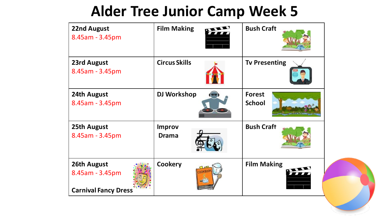| <b>22nd August</b><br>8.45am - 3.45pm                         | <b>Film Making</b>            | <b>Bush Craft</b>              |  |
|---------------------------------------------------------------|-------------------------------|--------------------------------|--|
| <b>23rd August</b><br>8.45am - 3.45pm                         | <b>Circus Skills</b>          | <b>Tv Presenting</b>           |  |
| 24th August<br>8.45am - 3.45pm                                | <b>DJ Workshop</b>            | <b>Forest</b><br><b>School</b> |  |
| 25th August<br>8.45am - 3.45pm                                | <b>Improv</b><br><b>Drama</b> | <b>Bush Craft</b>              |  |
| 26th August<br>8.45am - 3.45pm<br><b>Carnival Fancy Dress</b> | <b>Cookery</b>                | <b>Film Making</b>             |  |